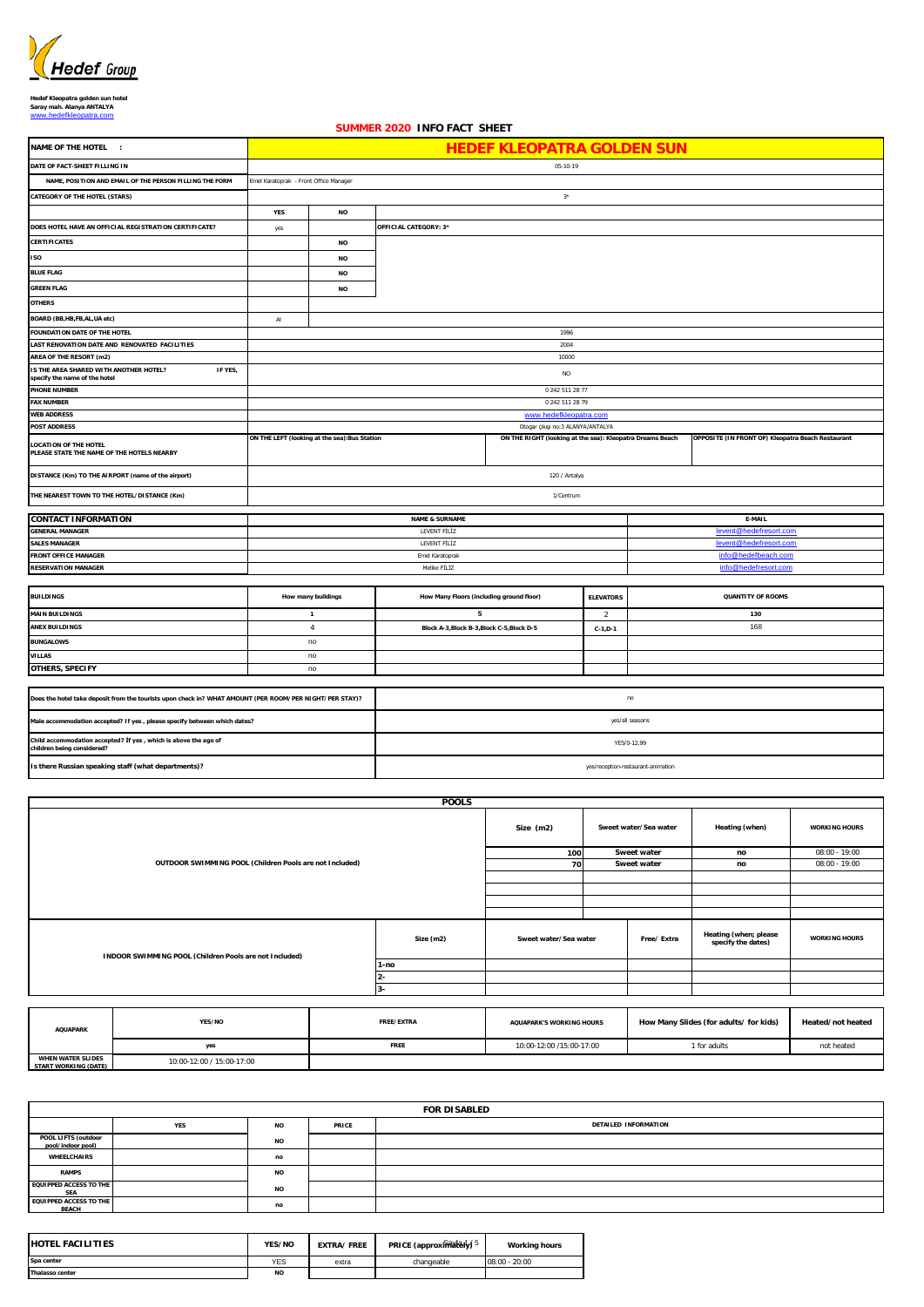

**Hedef Kleopatra golden sun hotel Saray mah. Alanya ANTALYA** [www.hedefkleopatra.com](http://www.hedefkleopatra.com/)

## **YES NO** yes **NO NO NO NO** AI **ELEVATORS** 2 **C-1,D-1 IS THE AREA SHARED WITH ANOTHER HOTEL? IF YES, specify the name of the hotel** NO **OTHERS, SPECIFY Is there Russian speaking staff (what departments)? Male accommodation accepted? If yes , please specify between which dates? Child accommodation accepted? İf yes , which is above the age of children being considered?** no **BUNGALOWS VILLAS** yes/reception-restaurant-animation **BUILDINGS MAIN BUILDINGS QUANTITY OF ROOMS ANEX BUILDINGS AND ANEX A-5,Block C-5,Block C-5,Block C-5,Block C-5,Block C-5,Block C-5,Block C-5,Block C-5,Block C-5,Block C-5,Block C-5,Block C-5,Block C-5,Block C-5,Block C-5,Block C-5,Block C-5,Block C-5,Block C-5,B CONTACT INFORMATION ON THE LEFT (looking at the sea):Bus Station** YES/0-12,99 no [info@hedefresort.com](mailto:info@hedefresort.com) [levent@hedefresort.com](mailto:levent@hedefresort.com) Emel Karatoprak [info@hedefbeach.com](mailto:info@hedefbeach.com) info@hedefbeach.com **How many buildings** Melike FİLİZ 2004 **DISTANCE (Km) TO THE AIRPORT (name of the airport) AREA OF THE RESORT (m2)** LEVENT FİLİZ **NAME & SURNAME** 120 / Antalya **LAST RENOVATION DATE AND RENOVATED FACILITIES E-MAIL** LEVENT FİLİZ [levent@hedefresort.com](mailto:levent@hedefresort.com) and the state of the state of the state of the state of the state of the state of the state of the state of the state of the state of the state of the state of the state of the state of 10000 **PHONE NUMBER** 0 242 511 28 77 **5** <sub>l</sub>ar çıkışı 1/Centrum **ON THE RIGHT (looking at the sea): Kleopatra Dreams Beach 130** [www.hedefkleopatra.com](http://www.hedefkleopatra.com/) **POST ADDRESS BOARD (BB,HB,FB,AL,UA etc) DATE OF FACT-SHEET FILLING IN NAME OF THE HOTEL : NAME, POSITION AND EMAIL OF THE PERSON FILLING THE FORM CATEGORY OF THE HOTEL (STARS) OTHERS** 3\* **OPPOSITE (IN FRONT OF) Kleopatra Beach Restaurant** 05-10-19 **SUMMER 2020 INFO FACT SHEET OFFICIAL CATEGORY: 3\* BLUE FLAG GREEN FLAG CERTIFICATES DOES HOTEL HAVE AN OFFICIAL REGISTRATION CERTIFICATE? ISO** 1996 **Does the hotel take deposit from the tourists upon check in? WHAT AMOUNT (PER ROOM/PER NIGHT/PER STAY)?** no **1** 4 **How Many Floors (including ground floor)** 0 242 511 28 79 **FOUNDATION DATE OF THE HOTEL** no **WEB ADDRESS GENERAL MANAGER RESERVATION MANAGER FRONT OFFICE MANAGER LOCATION OF THE HOTEL PLEASE STATE THE NAME OF THE HOTELS NEARBY SALES MANAGER THE NEAREST TOWN TO THE HOTEL/DISTANCE (Km) HEDEF KLEOPATRA GOLDEN SUN** Emel Karatoprak - Front Office Manager yes/all seasons **FAX NUMBER**

|                                                  |                                                                     |            | <b>POOLS</b>          |                                 |                       |                                        |                                             |                      |
|--------------------------------------------------|---------------------------------------------------------------------|------------|-----------------------|---------------------------------|-----------------------|----------------------------------------|---------------------------------------------|----------------------|
|                                                  |                                                                     | Size (m2)  | Sweet water/Sea water |                                 | Heating (when)        | <b>WORKING HOURS</b>                   |                                             |                      |
|                                                  | OUTDOOR SWIMMING POOL (Children Pools are not Included)             |            |                       |                                 |                       | Sweet water                            | no                                          | $08:00 - 19:00$      |
|                                                  |                                                                     |            |                       |                                 |                       | Sweet water                            | no                                          | $08:00 - 19:00$      |
|                                                  |                                                                     |            |                       |                                 |                       |                                        |                                             |                      |
|                                                  |                                                                     |            |                       |                                 |                       |                                        |                                             |                      |
|                                                  |                                                                     |            |                       |                                 |                       |                                        |                                             |                      |
|                                                  |                                                                     |            |                       |                                 |                       |                                        |                                             |                      |
|                                                  | Size (m2)<br>INDOOR SWIMMING POOL (Children Pools are not Included) |            |                       |                                 | Sweet water/Sea water |                                        | Heating (when; please<br>specify the dates) | <b>WORKING HOURS</b> |
|                                                  |                                                                     |            | $1-no$                |                                 |                       |                                        |                                             |                      |
|                                                  |                                                                     |            | $2 -$                 |                                 |                       |                                        |                                             |                      |
|                                                  |                                                                     |            | $3-$                  |                                 |                       |                                        |                                             |                      |
|                                                  |                                                                     |            |                       |                                 |                       |                                        |                                             |                      |
| <b>AQUAPARK</b>                                  | YES/NO                                                              | FREE/EXTRA |                       | <b>AQUAPARK'S WORKING HOURS</b> |                       | How Many Slides (for adults/ for kids) |                                             | Heated/not heated    |
|                                                  | yes                                                                 |            | FREE                  | 10:00-12:00 /15:00-17:00        |                       |                                        | 1 for adults                                | not heated           |
| <b>WHEN WATER SLIDES</b><br>START WORKING (DATE) | 10:00-12:00 / 15:00-17:00                                           |            |                       |                                 |                       |                                        |                                             |                      |

|                                               | <b>FOR DISABLED</b> |           |       |                      |  |  |  |  |
|-----------------------------------------------|---------------------|-----------|-------|----------------------|--|--|--|--|
|                                               | <b>YES</b>          | <b>NO</b> | PRICE | DETAILED INFORMATION |  |  |  |  |
| POOL LIFTS (outdoor<br>pool/indoor pool)      |                     | <b>NO</b> |       |                      |  |  |  |  |
| WHEELCHAIRS                                   |                     | no        |       |                      |  |  |  |  |
| <b>RAMPS</b>                                  |                     | <b>NO</b> |       |                      |  |  |  |  |
| <b>EQUIPPED ACCESS TO THE</b><br><b>SEA</b>   |                     | <b>NO</b> |       |                      |  |  |  |  |
| <b>EQUIPPED ACCESS TO THE</b><br><b>BEACH</b> |                     | no        |       |                      |  |  |  |  |

| <b>IHOTEL FACILITIES</b> | YES/NO     | <b>EXTRA/FREE</b> | PRICE (approximately) 5 | <b>Working hours</b> |
|--------------------------|------------|-------------------|-------------------------|----------------------|
| Spa center               | <b>YES</b> | extra             | changeable              | $08:00 - 20:00$      |
| <b>Thalasso center</b>   | <b>NO</b>  |                   |                         |                      |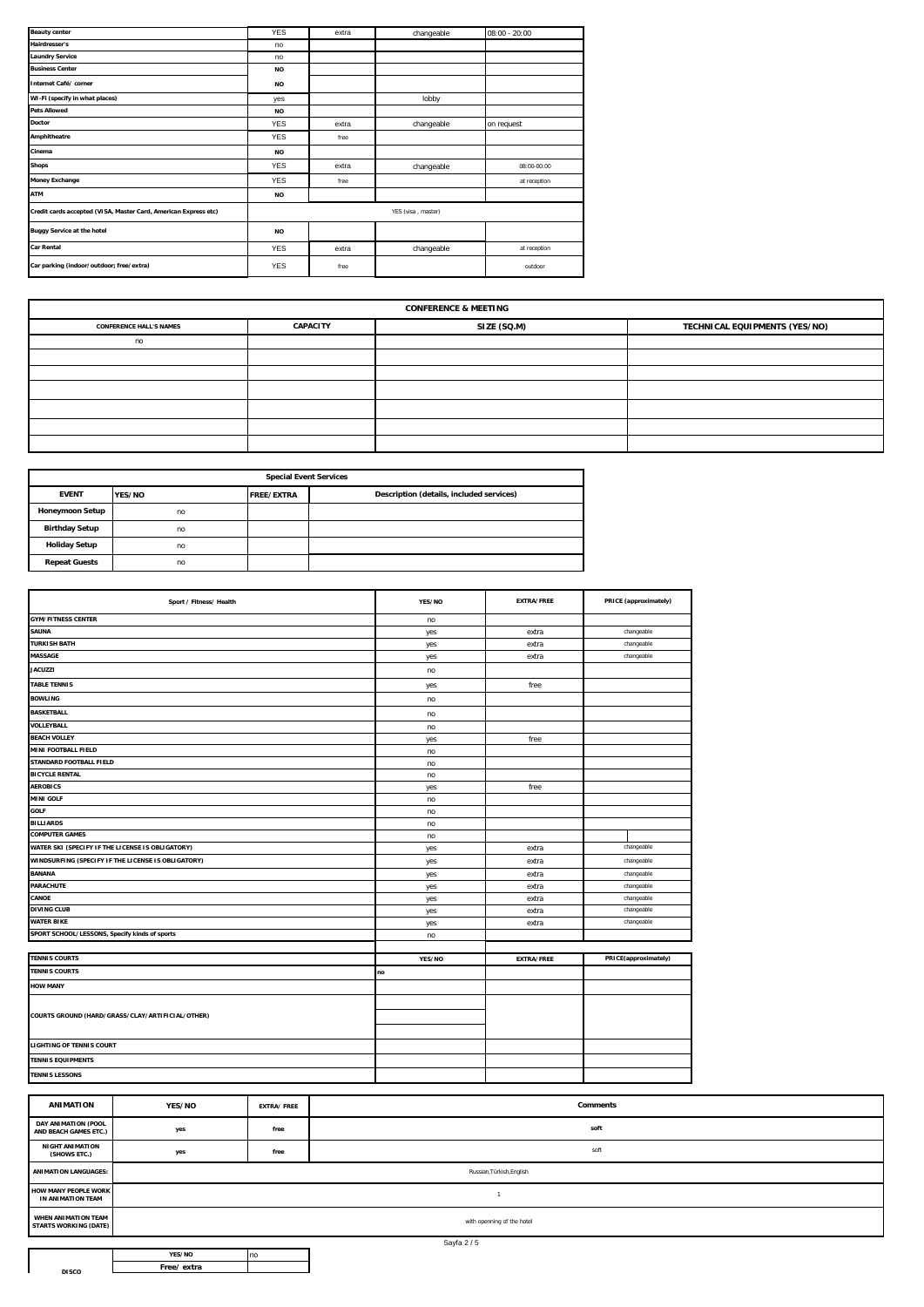|                                                                 |            |       |                    | $08:00 - 20:00$ |
|-----------------------------------------------------------------|------------|-------|--------------------|-----------------|
| <b>Hairdresser's</b>                                            | no         |       |                    |                 |
| <b>Laundry Service</b>                                          | no         |       |                    |                 |
| <b>Business Center</b>                                          | <b>NO</b>  |       |                    |                 |
| Internet Café/ corner                                           | <b>NO</b>  |       |                    |                 |
| WI-Fi (specify in what places)                                  | yes        |       | lobby              |                 |
| <b>Pets Allowed</b>                                             | <b>NO</b>  |       |                    |                 |
| Doctor                                                          | <b>YES</b> | extra | changeable         | on request      |
| Amphitheatre                                                    | <b>YES</b> | free  |                    |                 |
| Cinema                                                          | <b>NO</b>  |       |                    |                 |
| <b>Shops</b>                                                    | <b>YES</b> | extra | changeable         | 08:00-00:00     |
| <b>Money Exchange</b>                                           | <b>YES</b> | free  |                    | at reception    |
| ATM                                                             | <b>NO</b>  |       |                    |                 |
| Credit cards accepted (VISA, Master Card, American Express etc) |            |       | YES (visa, master) |                 |
| <b>Buggy Service at the hotel</b>                               | <b>NO</b>  |       |                    |                 |
| <b>Car Rental</b>                                               | <b>YES</b> | extra | changeable         | at reception    |
| Car parking (indoor/outdoor; free/extra)                        | <b>YES</b> | free  |                    | outdoor         |

| <b>CONFERENCE &amp; MEETING</b>                                                                   |  |  |  |  |  |  |  |  |
|---------------------------------------------------------------------------------------------------|--|--|--|--|--|--|--|--|
| SIZE (SQ.M)<br>TECHNICAL EQUIPMENTS (YES/NO)<br><b>CAPACITY</b><br><b>CONFERENCE HALL'S NAMES</b> |  |  |  |  |  |  |  |  |
| no                                                                                                |  |  |  |  |  |  |  |  |
|                                                                                                   |  |  |  |  |  |  |  |  |
|                                                                                                   |  |  |  |  |  |  |  |  |
|                                                                                                   |  |  |  |  |  |  |  |  |
|                                                                                                   |  |  |  |  |  |  |  |  |
|                                                                                                   |  |  |  |  |  |  |  |  |
|                                                                                                   |  |  |  |  |  |  |  |  |

| <b>Special Event Services</b> |        |                   |                                          |  |  |  |  |  |
|-------------------------------|--------|-------------------|------------------------------------------|--|--|--|--|--|
| <b>EVENT</b>                  | YES/NO | <b>FREE/EXTRA</b> | Description (details, included services) |  |  |  |  |  |
| <b>Honeymoon Setup</b>        | no     |                   |                                          |  |  |  |  |  |
| <b>Birthday Setup</b>         | no     |                   |                                          |  |  |  |  |  |
| <b>Holiday Setup</b>          | no     |                   |                                          |  |  |  |  |  |
| <b>Repeat Guests</b>          | no     |                   |                                          |  |  |  |  |  |

| Sport / Fitness/ Health                            | YES/NO | <b>EXTRA/FREE</b> | PRICE (approximately) |
|----------------------------------------------------|--------|-------------------|-----------------------|
| <b>GYM/FITNESS CENTER</b>                          | no     |                   |                       |
| <b>SAUNA</b>                                       | yes    | extra             | changeable            |
| <b>TURKISH BATH</b>                                | yes    | extra             | changeable            |
| <b>MASSAGE</b>                                     | yes    | extra             | changeable            |
| <b>JACUZZI</b>                                     | no     |                   |                       |
| <b>TABLE TENNIS</b>                                | yes    | free              |                       |
| <b>BOWLING</b>                                     | no     |                   |                       |
| <b>BASKETBALL</b>                                  | no     |                   |                       |
| VOLLEYBALL                                         | no     |                   |                       |
| <b>BEACH VOLLEY</b>                                | yes    | free              |                       |
| MINI FOOTBALL FIELD                                | no     |                   |                       |
| STANDARD FOOTBALL FIELD                            | no     |                   |                       |
| <b>BICYCLE RENTAL</b>                              | no     |                   |                       |
| <b>AEROBICS</b>                                    | yes    | free              |                       |
| <b>MINI GOLF</b>                                   | no     |                   |                       |
| <b>GOLF</b>                                        | no     |                   |                       |
| <b>BILLIARDS</b>                                   | no     |                   |                       |
| <b>COMPUTER GAMES</b>                              | no     |                   |                       |
| WATER SKI (SPECIFY IF THE LICENSE IS OBLIGATORY)   | yes    | extra             | changeable            |
| WINDSURFING (SPECIFY IF THE LICENSE IS OBLIGATORY) | yes    | extra             | changeable            |
| <b>BANANA</b>                                      | yes    | extra             | changeable            |
| <b>PARACHUTE</b>                                   | yes    | extra             | changeable            |
| CANOE                                              | yes    | extra             | changeable            |
| <b>DIVING CLUB</b>                                 | yes    | extra             | changeable            |
| <b>WATER BIKE</b>                                  | yes    | extra             | changeable            |
| SPORT SCHOOL/LESSONS, Specify kinds of sports      | no     |                   |                       |
|                                                    |        |                   |                       |
| <b>TENNIS COURTS</b>                               | YES/NO | <b>EXTRA/FREE</b> | PRICE(approximately)  |
| <b>TENNIS COURTS</b>                               | no     |                   |                       |
| <b>HOW MANY</b>                                    |        |                   |                       |
|                                                    |        |                   |                       |
| COURTS GROUND (HARD/GRASS/CLAY/ARTIFICIAL/OTHER)   |        |                   |                       |
|                                                    |        |                   |                       |
| <b>LIGHTING OF TENNIS COURT</b>                    |        |                   |                       |
| <b>TENNIS EQUIPMENTS</b>                           |        |                   |                       |
| <b>TENNIS LESSONS</b>                              |        |                   |                       |
|                                                    |        |                   |                       |

| <b>ANIMATION</b>                                           | YES/NO                     | <b>EXTRA/FREE</b> | <b>Comments</b> |  |  |  |
|------------------------------------------------------------|----------------------------|-------------------|-----------------|--|--|--|
| DAY ANIMATION (POOL<br>AND BEACH GAMES ETC.)               | yes                        | free              | soft            |  |  |  |
| <b>NIGHT ANIMATION</b><br>(SHOWS ETC.)                     | yes                        | free              | soft            |  |  |  |
| <b>ANIMATION LANGUAGES:</b>                                | Russian, Türkish, English  |                   |                 |  |  |  |
| HOW MANY PEOPLE WORK<br>IN ANIMATION TEAM                  |                            |                   |                 |  |  |  |
| <b>WHEN ANIMATION TEAM</b><br><b>STARTS WORKING (DATE)</b> | with openning of the hotel |                   |                 |  |  |  |

| YFS/NO     |  |
|------------|--|
| Free/extra |  |

**DISCO**

Sayfa 2 / 5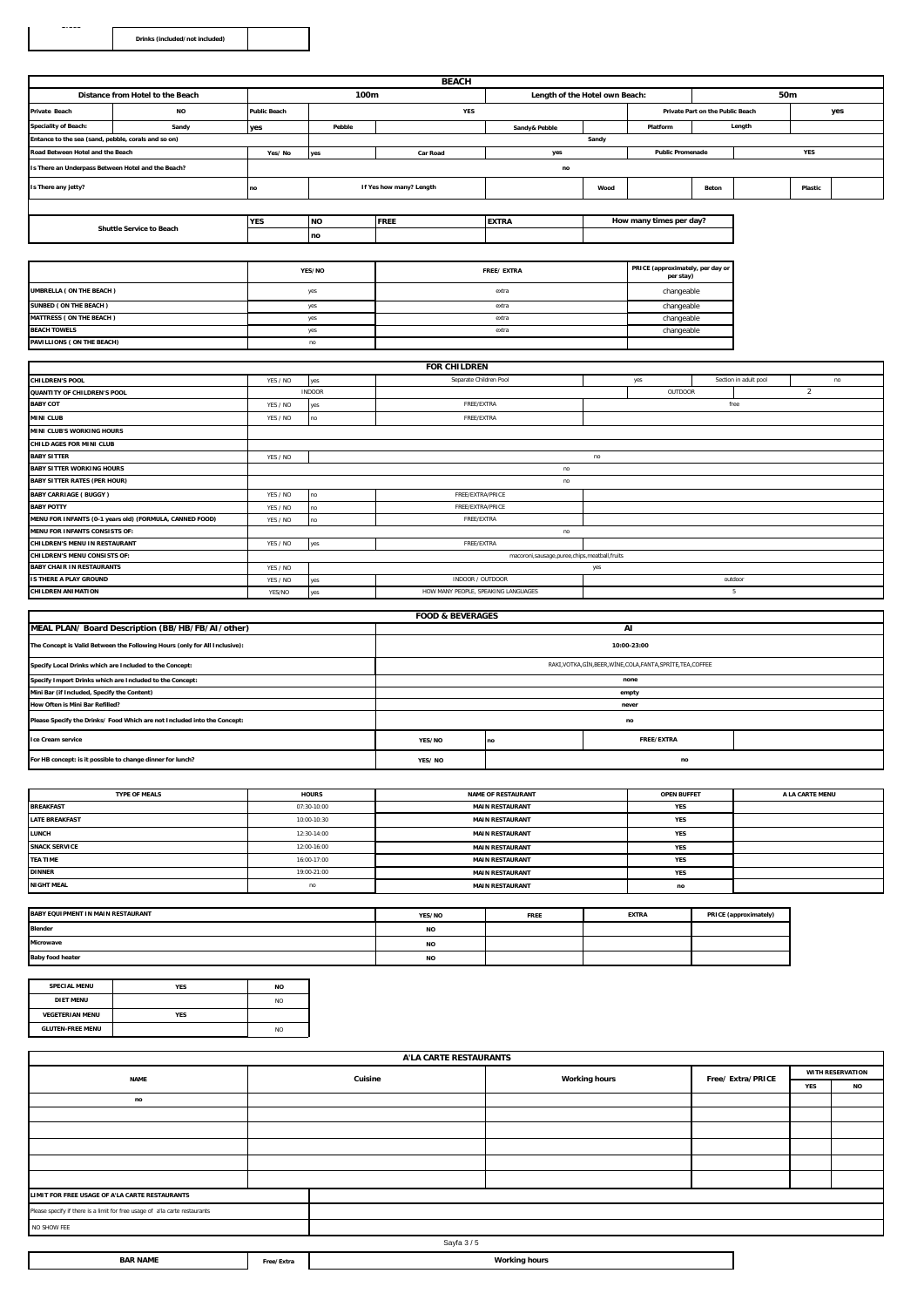**DISCO**

|                                                     |                                                         |                            |               | <b>BEACH</b>                        |                                                   |       |                                               |                                  |                       |                |     |
|-----------------------------------------------------|---------------------------------------------------------|----------------------------|---------------|-------------------------------------|---------------------------------------------------|-------|-----------------------------------------------|----------------------------------|-----------------------|----------------|-----|
|                                                     | Distance from Hotel to the Beach                        | 100m                       |               |                                     | Length of the Hotel own Beach:                    |       |                                               | 50m                              |                       |                |     |
| Private Beach                                       | <b>NO</b>                                               | YES<br><b>Public Beach</b> |               |                                     |                                                   |       |                                               | Private Part on the Public Beach |                       |                | yes |
| <b>Speciality of Beach:</b>                         | Sandy                                                   | yes                        | Pebble        |                                     | Sandy& Pebble                                     |       | Platform                                      |                                  | Length                |                |     |
| Entance to the sea (sand, pebble, corals and so on) |                                                         |                            |               |                                     |                                                   | Sandy |                                               |                                  |                       |                |     |
| Road Between Hotel and the Beach                    |                                                         | Yes/No                     | yes           | <b>Car Road</b>                     | yes                                               |       | <b>Public Promenade</b>                       |                                  |                       | YES            |     |
| Is There an Underpass Between Hotel and the Beach?  |                                                         |                            |               |                                     | $\mathop{\mathsf{no}}$                            |       |                                               |                                  |                       |                |     |
| Is There any jetty?                                 |                                                         | no                         |               | If Yes how many? Length             |                                                   | Wood  |                                               | Beton                            |                       | Plastic        |     |
|                                                     |                                                         |                            |               |                                     |                                                   |       |                                               |                                  |                       |                |     |
|                                                     | <b>Shuttle Service to Beach</b>                         | YES                        | <b>NO</b>     | <b>FREE</b>                         | <b>EXTRA</b>                                      |       | How many times per day?                       |                                  |                       |                |     |
|                                                     |                                                         |                            | no            |                                     |                                                   |       |                                               |                                  |                       |                |     |
|                                                     |                                                         |                            |               |                                     |                                                   |       |                                               |                                  |                       |                |     |
|                                                     |                                                         |                            | YES/NO        |                                     | FREE/EXTRA                                        |       | PRICE (approximately, per day or<br>per stay) |                                  |                       |                |     |
| UMBRELLA ( ON THE BEACH )                           |                                                         |                            | yes           |                                     | extra                                             |       | changeable                                    |                                  |                       |                |     |
| SUNBED (ON THE BEACH)                               |                                                         | yes                        |               | extra                               |                                                   |       | changeable                                    |                                  |                       |                |     |
| <b>MATTRESS (ON THE BEACH)</b>                      |                                                         |                            | yes           | extra                               |                                                   |       | changeable                                    |                                  |                       |                |     |
| <b>BEACH TOWELS</b>                                 |                                                         |                            | yes           |                                     | extra                                             |       | changeable                                    |                                  |                       |                |     |
| PAVILLIONS ( ON THE BEACH)                          |                                                         |                            | no            |                                     |                                                   |       |                                               |                                  |                       |                |     |
|                                                     |                                                         |                            |               |                                     |                                                   |       |                                               |                                  |                       |                |     |
|                                                     |                                                         |                            |               | <b>FOR CHILDREN</b>                 |                                                   |       |                                               |                                  |                       |                |     |
| <b>CHILDREN'S POOL</b>                              |                                                         | YES / NO                   | yes           | Separate Children Pool              |                                                   |       | yes                                           |                                  | Section in adult pool |                | no  |
| QUANTITY OF CHILDREN'S POOL                         |                                                         |                            | <b>INDOOR</b> |                                     |                                                   |       | OUTDOOR                                       |                                  |                       | $\overline{2}$ |     |
| <b>BABY COT</b>                                     |                                                         | YES / NO                   | yes           | FREE/EXTRA                          |                                                   |       |                                               |                                  | free                  |                |     |
| MINI CLUB                                           |                                                         | YES / NO                   | no            | FREE/EXTRA                          |                                                   |       |                                               |                                  |                       |                |     |
| MINI CLUB'S WORKING HOURS                           |                                                         |                            |               |                                     |                                                   |       |                                               |                                  |                       |                |     |
| CHILD AGES FOR MINI CLUB                            |                                                         |                            |               |                                     |                                                   |       |                                               |                                  |                       |                |     |
| <b>BABY SITTER</b>                                  |                                                         | YES / NO                   | no            |                                     |                                                   |       |                                               |                                  |                       |                |     |
| <b>BABY SITTER WORKING HOURS</b>                    |                                                         |                            | no            |                                     |                                                   |       |                                               |                                  |                       |                |     |
| <b>BABY SITTER RATES (PER HOUR)</b>                 |                                                         |                            |               |                                     | no                                                |       |                                               |                                  |                       |                |     |
| <b>BABY CARRIAGE (BUGGY)</b>                        |                                                         | YES / NO                   | no            | FREE/EXTRA/PRICE                    |                                                   |       |                                               |                                  |                       |                |     |
| <b>BABY POTTY</b>                                   |                                                         | YES / NO                   | no            | FREE/EXTRA/PRICE                    |                                                   |       |                                               |                                  |                       |                |     |
|                                                     | MENU FOR INFANTS (0-1 years old) (FORMULA, CANNED FOOD) | YES / NO                   | no            | FREE/EXTRA                          |                                                   |       |                                               |                                  |                       |                |     |
| <b>MENU FOR INFANTS CONSISTS OF:</b>                |                                                         |                            |               |                                     | no                                                |       |                                               |                                  |                       |                |     |
| CHILDREN'S MENU IN RESTAURANT                       |                                                         | YES / NO                   | yes           | FREE/EXTRA                          |                                                   |       |                                               |                                  |                       |                |     |
| CHILDREN'S MENU CONSISTS OF:                        |                                                         |                            |               |                                     | macoroni, sausage, puree, chips, meatball, fruits |       |                                               |                                  |                       |                |     |
| <b>BABY CHAIR IN RESTAURANTS</b>                    |                                                         | YES / NO                   |               |                                     |                                                   | yes   |                                               |                                  |                       |                |     |
| <b>IS THERE A PLAY GROUND</b>                       |                                                         | YES / NO                   | yes           | INDOOR / OUTDOOR                    |                                                   |       |                                               |                                  | outdoor               |                |     |
| <b>CHILDREN ANIMATION</b>                           |                                                         | YES/NO                     | yes           | HOW MANY PEOPLE, SPEAKING LANGUAGES |                                                   | 5     |                                               |                                  |                       |                |     |
|                                                     |                                                         |                            |               |                                     |                                                   |       |                                               |                                  |                       |                |     |

| <b>FOOD &amp; BEVERAGES</b>                                                |                                                                |                         |       |  |  |  |  |  |
|----------------------------------------------------------------------------|----------------------------------------------------------------|-------------------------|-------|--|--|--|--|--|
| MEAL PLAN/ Board Description (BB/HB/FB/AI/other)                           | ΑI                                                             |                         |       |  |  |  |  |  |
| The Concept is Valid Between the Following Hours (only for All Inclusive): |                                                                | 10:00-23:00             |       |  |  |  |  |  |
| Specify Local Drinks which are Included to the Concept:                    | RAKI, VOTKA, GİN, BEER, WİNE, COLA, FANTA, SPRİTE, TEA, COFFEE |                         |       |  |  |  |  |  |
| Specify Import Drinks which are Included to the Concept:                   |                                                                |                         | none  |  |  |  |  |  |
| Mini Bar (if Included, Specify the Content)                                |                                                                |                         | empty |  |  |  |  |  |
| How Often is Mini Bar Refilled?                                            | never                                                          |                         |       |  |  |  |  |  |
| Please Specify the Drinks/ Food Which are not Included into the Concept:   | no                                                             |                         |       |  |  |  |  |  |
| <b>Ice Cream service</b>                                                   | <b>YES/NO</b>                                                  | <b>FREE/EXTRA</b><br>no |       |  |  |  |  |  |
| For HB concept: is it possible to change dinner for lunch?                 | YES/NO                                                         | no                      |       |  |  |  |  |  |

| <b>TYPE OF MEALS</b>  | <b>HOURS</b> | <b>NAME OF RESTAURANT</b> | <b>OPEN BUFFET</b> | A LA CARTE MENU |
|-----------------------|--------------|---------------------------|--------------------|-----------------|
| <b>BREAKFAST</b>      | 07:30-10:00  | <b>MAIN RESTAURANT</b>    | <b>YES</b>         |                 |
| <b>LATE BREAKFAST</b> | 10:00-10:30  | <b>MAIN RESTAURANT</b>    | <b>YES</b>         |                 |
| <b>LUNCH</b>          | 12:30-14:00  | <b>MAIN RESTAURANT</b>    | <b>YES</b>         |                 |
| <b>SNACK SERVICE</b>  | 12:00-16:00  | <b>MAIN RESTAURANT</b>    | <b>YES</b>         |                 |
| <b>TEA TIME</b>       | 16:00-17:00  | <b>MAIN RESTAURANT</b>    | <b>YES</b>         |                 |
| <b>DINNER</b>         | 19:00-21:00  | <b>MAIN RESTAURANT</b>    | <b>YES</b>         |                 |
| <b>NIGHT MEAL</b>     | no           | <b>MAIN RESTAURANT</b>    | no                 |                 |
|                       |              |                           |                    |                 |

| BABY EQUIPMENT IN MAIN RESTAURANT | YES/NO    | <b>FREE</b> | <b>EXTRA</b> | PRICE (approximately) |
|-----------------------------------|-----------|-------------|--------------|-----------------------|
| <b>Blender</b>                    | <b>NO</b> |             |              |                       |
| Microwave                         | <b>NO</b> |             |              |                       |
| <b>Baby food heater</b>           | <b>NO</b> |             |              |                       |

| <b>SPECIAL MENU</b>     | <b>YES</b> | <b>NO</b>      |
|-------------------------|------------|----------------|
| <b>DIET MENU</b>        |            | N <sub>O</sub> |
| <b>VEGETERIAN MENU</b>  | <b>YES</b> |                |
| <b>GLUTEN-FREE MENU</b> |            | N <sub>O</sub> |

| A'LA CARTE RESTAURANTS                                                      |         |  |                      |                   |                  |           |  |  |
|-----------------------------------------------------------------------------|---------|--|----------------------|-------------------|------------------|-----------|--|--|
| <b>NAME</b>                                                                 | Cuisine |  | <b>Working hours</b> | Free/ Extra/PRICE | WITH RESERVATION |           |  |  |
|                                                                             |         |  |                      |                   | YES              | <b>NO</b> |  |  |
| no                                                                          |         |  |                      |                   |                  |           |  |  |
|                                                                             |         |  |                      |                   |                  |           |  |  |
|                                                                             |         |  |                      |                   |                  |           |  |  |
|                                                                             |         |  |                      |                   |                  |           |  |  |
|                                                                             |         |  |                      |                   |                  |           |  |  |
|                                                                             |         |  |                      |                   |                  |           |  |  |
| LIMIT FOR FREE USAGE OF A'LA CARTE RESTAURANTS                              |         |  |                      |                   |                  |           |  |  |
| Please specify if there is a limit for free usage of a'la carte restaurants |         |  |                      |                   |                  |           |  |  |
| NO SHOW FEE                                                                 |         |  |                      |                   |                  |           |  |  |
| Sayfa 3/5                                                                   |         |  |                      |                   |                  |           |  |  |

| ----<br><b>BAR</b><br>$~\sim$ NAN. | Free/Extra | .ina hours<br>Worl<br>- - - |
|------------------------------------|------------|-----------------------------|
|                                    |            |                             |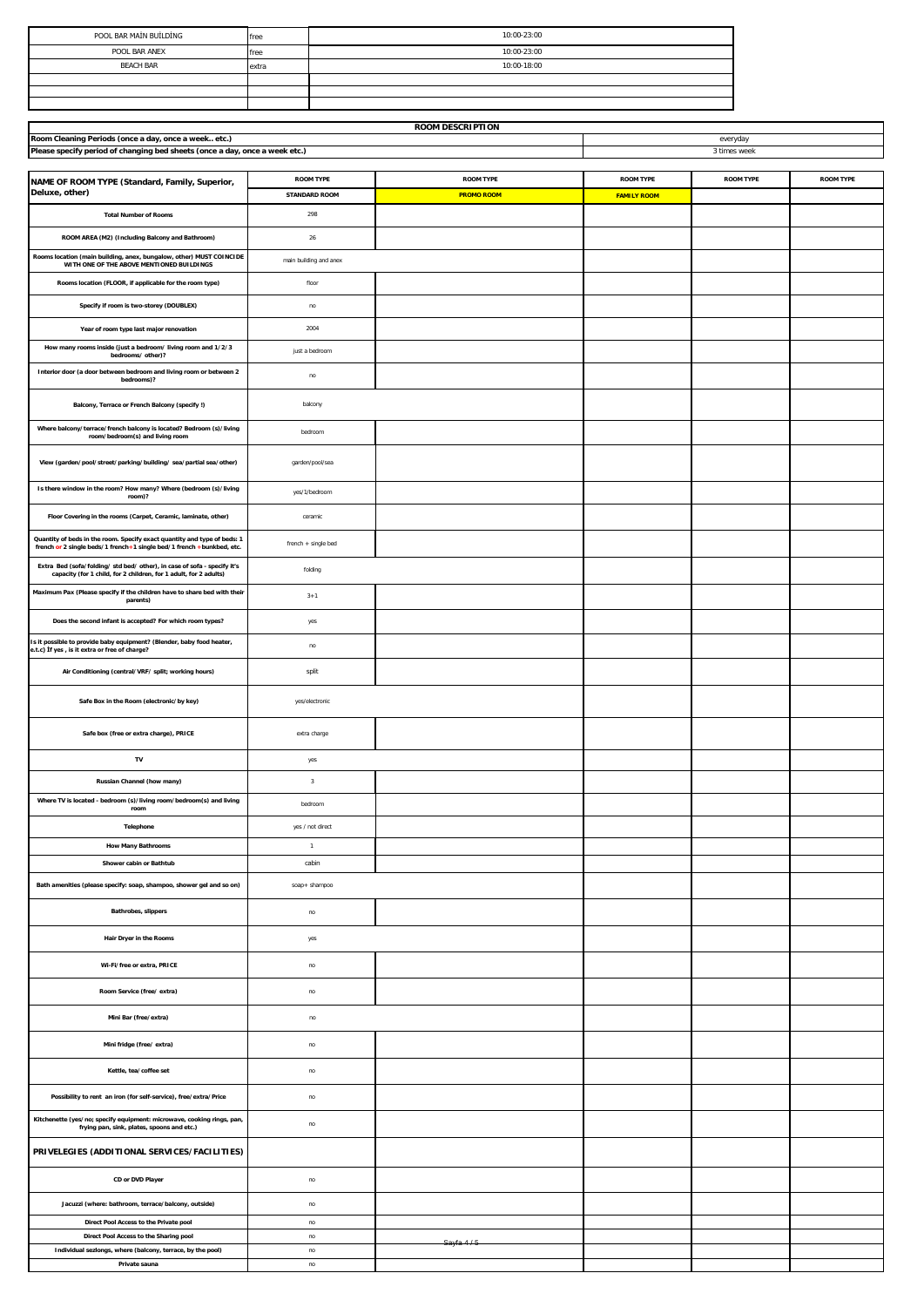| POOL BAR MAİN BUİLDİNG | free  | 10:00-23:00 |
|------------------------|-------|-------------|
| POOL BAR ANEX          | free  | 10:00-23:00 |
| <b>BEACH BAR</b>       | extra | 10:00-18:00 |
|                        |       |             |
|                        |       |             |
|                        |       |             |

| <b>ROOM DESCRIPTION</b>                                                                                                                           |                         |                   |                    |                  |                  |  |
|---------------------------------------------------------------------------------------------------------------------------------------------------|-------------------------|-------------------|--------------------|------------------|------------------|--|
| Room Cleaning Periods (once a day, once a week etc.)                                                                                              |                         |                   |                    | everyday         |                  |  |
| Please specify period of changing bed sheets (once a day, once a week etc.)                                                                       | 3 times week            |                   |                    |                  |                  |  |
|                                                                                                                                                   |                         |                   |                    |                  |                  |  |
| NAME OF ROOM TYPE (Standard, Family, Superior,                                                                                                    | <b>ROOM TYPE</b>        | <b>ROOM TYPE</b>  | <b>ROOM TYPE</b>   | <b>ROOM TYPE</b> | <b>ROOM TYPE</b> |  |
| Deluxe, other)                                                                                                                                    | <b>STANDARD ROOM</b>    | <b>PROMO ROOM</b> | <b>FAMILY ROOM</b> |                  |                  |  |
| <b>Total Number of Rooms</b>                                                                                                                      | 298                     |                   |                    |                  |                  |  |
| ROOM AREA (M2) (Including Balcony and Bathroom)                                                                                                   | 26                      |                   |                    |                  |                  |  |
| Rooms location (main building, anex, bungalow, other) MUST COINCIDE                                                                               | main building and anex  |                   |                    |                  |                  |  |
| WITH ONE OF THE ABOVE MENTIONED BUILDINGS                                                                                                         |                         |                   |                    |                  |                  |  |
| Rooms location (FLOOR, if applicable for the room type)                                                                                           | floor                   |                   |                    |                  |                  |  |
| Specify if room is two-storey (DOUBLEX)                                                                                                           | no                      |                   |                    |                  |                  |  |
| Year of room type last major renovation                                                                                                           | 2004                    |                   |                    |                  |                  |  |
| How many rooms inside (just a bedroom/ living room and 1/2/3<br>bedrooms/other)?                                                                  | just a bedroom          |                   |                    |                  |                  |  |
| Interior door (a door between bedroom and living room or between 2<br>bedrooms)?                                                                  | no                      |                   |                    |                  |                  |  |
| Balcony, Terrace or French Balcony (specify !)                                                                                                    | balcony                 |                   |                    |                  |                  |  |
| Where balcony/terrace/french balcony is located? Bedroom (s)/living<br>room/bedroom(s) and living room                                            | bedroom                 |                   |                    |                  |                  |  |
| View (garden/pool/street/parking/building/sea/partial sea/other)                                                                                  | garden/pool/sea         |                   |                    |                  |                  |  |
| Is there window in the room? How many? Where (bedroom (s)/living<br>room)?                                                                        | yes/1/bedroom           |                   |                    |                  |                  |  |
| Floor Covering in the rooms (Carpet, Ceramic, laminate, other)                                                                                    | ceramic                 |                   |                    |                  |                  |  |
| Quantity of beds in the room. Specify exact quantity and type of beds: 1<br>french or 2 single beds/1 french+1 single bed/1 french +bunkbed, etc. | french + single bed     |                   |                    |                  |                  |  |
| Extra Bed (sofa/folding/std bed/other), in case of sofa - specify it's<br>capacity (for 1 child, for 2 children, for 1 adult, for 2 adults)       | folding                 |                   |                    |                  |                  |  |
| Maximum Pax (Please specify if the children have to share bed with their<br>parents)                                                              | $3 + 1$                 |                   |                    |                  |                  |  |
| Does the second infant is accepted? For which room types?                                                                                         | yes                     |                   |                    |                  |                  |  |
| Is it possible to provide baby equipment? (Blender, baby food heater,<br>e.t.c) If yes, is it extra or free of charge?                            | no                      |                   |                    |                  |                  |  |
| Air Conditioning (central/VRF/ split; working hours)                                                                                              | split                   |                   |                    |                  |                  |  |
| Safe Box in the Room (electronic/by key)                                                                                                          | yes/electronic          |                   |                    |                  |                  |  |
| Safe box (free or extra charge), PRICE                                                                                                            | extra charge            |                   |                    |                  |                  |  |
| TV                                                                                                                                                | yes                     |                   |                    |                  |                  |  |
| Russian Channel (how many)                                                                                                                        | $\overline{\mathbf{3}}$ |                   |                    |                  |                  |  |
| Where TV is located - bedroom (s)/living room/bedroom(s) and living<br>room                                                                       | bedroom                 |                   |                    |                  |                  |  |
| Telephone                                                                                                                                         | yes / not direct        |                   |                    |                  |                  |  |
| <b>How Many Bathrooms</b>                                                                                                                         | $\overline{1}$          |                   |                    |                  |                  |  |
| Shower cabin or Bathtub                                                                                                                           | cabin                   |                   |                    |                  |                  |  |
|                                                                                                                                                   |                         |                   |                    |                  |                  |  |
| Bath amenities (please specify: soap, shampoo, shower gel and so on)                                                                              | soap+ shampoo           |                   |                    |                  |                  |  |
| Bathrobes, slippers                                                                                                                               | no                      |                   |                    |                  |                  |  |
| Hair Dryer in the Rooms                                                                                                                           | yes                     |                   |                    |                  |                  |  |
| Wi-Fi/free or extra, PRICE                                                                                                                        | no                      |                   |                    |                  |                  |  |
| Room Service (free/extra)                                                                                                                         | no                      |                   |                    |                  |                  |  |
| Mini Bar (free/extra)                                                                                                                             | $\mathsf{no}$           |                   |                    |                  |                  |  |
| Mini fridge (free/extra)                                                                                                                          | no                      |                   |                    |                  |                  |  |
| Kettle, tea/coffee set                                                                                                                            | no                      |                   |                    |                  |                  |  |
| Possibility to rent an iron (for self-service), free/extra/Price                                                                                  | no                      |                   |                    |                  |                  |  |
| Kitchenette (yes/no; specify equipment: microwave, cooking rings, pan,<br>frying pan, sink, plates, spoons and etc.)                              | no                      |                   |                    |                  |                  |  |
| PRIVELEGIES (ADDITIONAL SERVICES/FACILITIES)                                                                                                      |                         |                   |                    |                  |                  |  |
| CD or DVD Player                                                                                                                                  | no                      |                   |                    |                  |                  |  |
| Jacuzzi (where: bathroom, terrace/balcony, outside)                                                                                               | no                      |                   |                    |                  |                  |  |
| Direct Pool Access to the Private pool                                                                                                            | no                      |                   |                    |                  |                  |  |
| Direct Pool Access to the Sharing pool                                                                                                            | no                      |                   |                    |                  |                  |  |
| Individual sezlongs, where (balcony, terrace, by the pool)                                                                                        | no                      | Sayfa 4/6         |                    |                  |                  |  |
| Private sauna                                                                                                                                     | no                      |                   |                    |                  |                  |  |